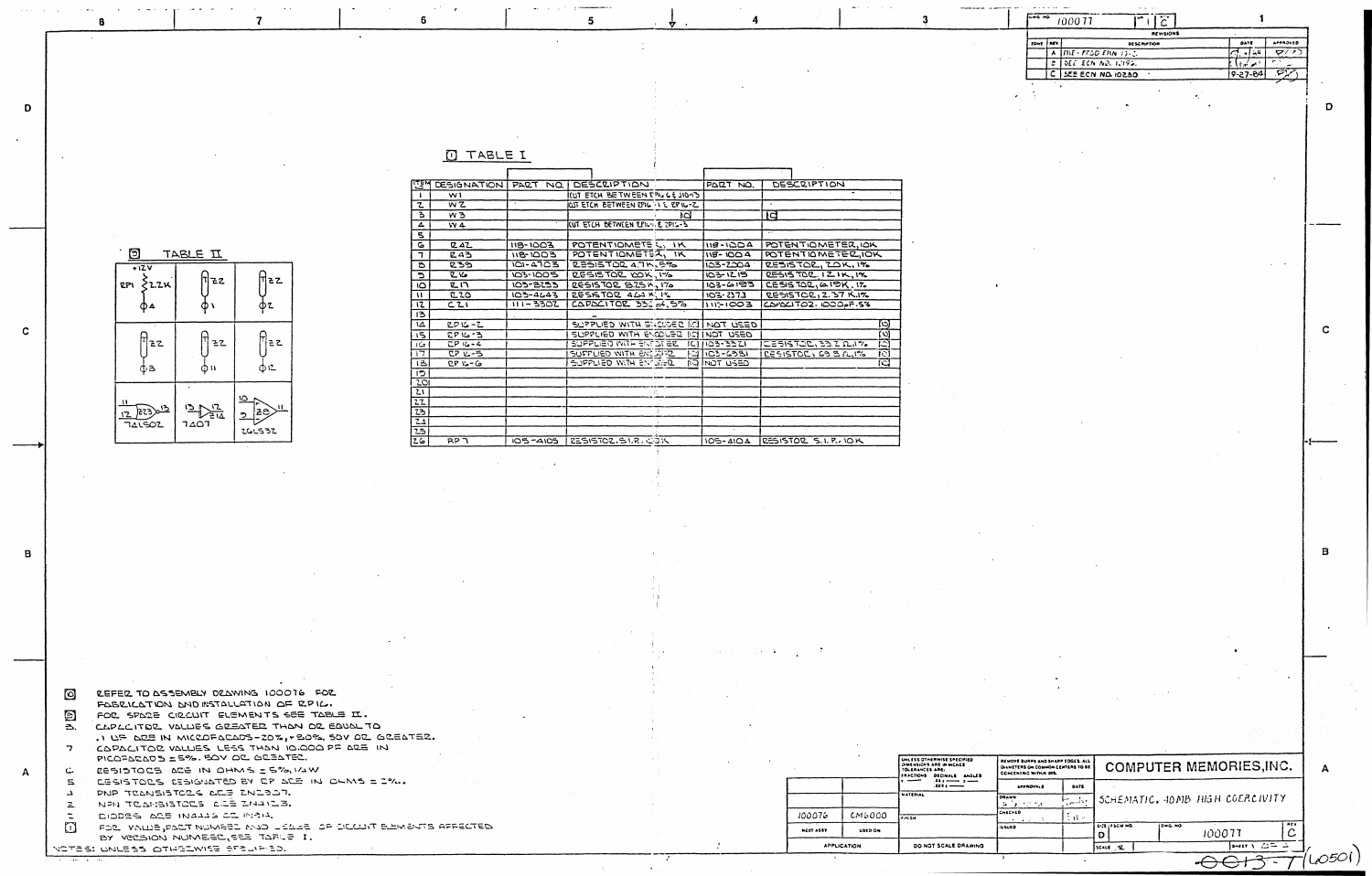| Θ<br>TABLE II                     |           |                                |  |  |  |  |
|-----------------------------------|-----------|--------------------------------|--|--|--|--|
| $+12V$<br>$2P1 \nless 2.2K$<br>Φ4 | 72        | <b>ZZ</b><br>D2                |  |  |  |  |
| 22<br>фЗ                          | ZZ<br>Φ۱۱ | 22<br>ゆに                       |  |  |  |  |
| בי<br>223<br>141502               | ➣<br>דם ז | ۱٥<br>11<br>ze<br>່າ<br>266532 |  |  |  |  |

 $\overline{7}$ 

 $\bf{a}$ 

D

 $\mathbf{C}$ 

|  | ┯<br>$\rightarrow$ r $\rightarrow$ |  |  |
|--|------------------------------------|--|--|
|  |                                    |  |  |

 $6\overline{6}$ 

| एङ्स्           | DESIGNATION PART NO. |              | <b>I DESCRIPTION</b>                      |     | PART NO.             | <b>DESCRIPTION</b>                 |
|-----------------|----------------------|--------------|-------------------------------------------|-----|----------------------|------------------------------------|
| $\mathbf{I}$ .  | W1                   |              | CUT ETCH BETWEEN TOULE 110-13             |     |                      |                                    |
| ι               | wz                   |              | IWT ETCH BETWEEN EPIL AND EPIL-Z          |     |                      | $\bullet$                          |
| Ξ               | w <sub>3</sub>       |              |                                           | ١d  |                      | IЧ                                 |
| 4               | W <sub>4</sub>       |              | IWT ETCH BETWEEN EPIGOLE 2PIG-3           |     |                      |                                    |
| 5               |                      |              |                                           |     |                      | $\cdot$ .                          |
| c               | <b>ZAZ</b>           | 118-1003     | POTENTIOMETE  IK                          |     | 118-1004             | POTENTIOMETER, IOK                 |
| <sup>7</sup>    | 243                  | 118-1003     | POTENTIOMETER, IK                         |     | <b>118-1004</b>      | POTENTIOMETER, IOK                 |
| ъ               | 239                  | $101 - 4703$ | <b>RESISTOR 4.7K, 5%</b>                  |     | 103-2004             | <b>RESISTOR, ZOK, 1%</b>           |
| C               | <b>R</b> 16          | 103-1005     | RESISTOR YOK, 1%                          |     | 103-1215             | RESISTOR. 121K, 196                |
| ١O              | <b>ZI7</b>           | 103-8153     | RESISTOR 8.25K, 176                       |     | $103 - 6193$         | $CESISTOL, \triangle IPK, 17.$     |
| w               | 220                  | $103 - 4643$ | RESISTOR 464 K. IL                        |     | $103 - 2373$         | <b>RESISTOR, 2.37 K.IX</b>         |
| 12              | C21                  | $111 - 3302$ | CAPAL1TOL 332 A, 5%                       |     | $115 - 1003$         | CAPACITOZ, IDOOPF.5%               |
| 13              |                      |              |                                           |     |                      |                                    |
| ۱Δ              | $2D16 - Z$           |              | <b>SUPPLIED WITH SHOUSED IN INOT USED</b> |     |                      | ി                                  |
| 15              | $2916 - 3$           |              | SUPPLIED WITH ENCOUSE IN                  |     | <b>INOT USED</b>     | O)                                 |
| حکا             | $CP 16 - 4$          |              | SUPPLIED WITH ENTOTER                     |     | $1C$   $103 - 33 Z1$ | ירובה של הכל השלח ביו המודר<br>IC. |
| 17              | $222 - 5$            |              | SUFFLIED WITH ENCLOSE                     |     | 12103-6981           | <b>LESISTOL, 63.8 C.IM</b><br>ĨО   |
| B               | $CP 16 - G$          |              | SUPPLIED WITH ENGLER                      |     | <b>ASSU TOM GIL</b>  | তে                                 |
| כי              |                      |              |                                           |     |                      |                                    |
| 201             |                      |              |                                           |     |                      |                                    |
| ひ               |                      |              |                                           | il, |                      |                                    |
| 22              |                      |              |                                           |     |                      |                                    |
| 23              |                      |              |                                           |     |                      |                                    |
| $\overline{21}$ |                      |              |                                           |     |                      |                                    |
| 25              |                      |              |                                           |     |                      |                                    |
| $\overline{26}$ | <b>RP 7</b>          | 105-4105     | <b>ZESISTOZ.SI.R. COK</b>                 |     | 105-4104             | RESISTOR S.I. P., IOK              |

 $5\overline{5}$ 

REFER TO DESEMBLY DRAWING 100016 FOR Ø FABEILATION AND INSTALLATION OF RPIL.  $\bm{\mathsf{D}}$ FOR SPARE CIRCUIT ELEMENTS SEE TABLE II. CAPLCITOR VALUES GREATER THAN OR EQUAL TO Э. .1 UF ARE IN MICROFARADS-20%, + BO%, 50V OR GREATER. CAPACITOR VALUES LESS THAN 10,000 PF ARE IN  $\overline{z}$ PICOFARADS ±5%, SOV OR GREATER. RESISTOCS ACE IN OHMS = 5%, VAW ا مشا CESISTORS RESIGNATED BY RP ACE IN CHMS = 2%.  $\overline{\mathbf{5}}$ PNP TRANSISTORS ARE ZNESAT.  $\Delta$ NPH TRANSISTORS CIE ZNAILS.  $\mathbf{z}$ DIODES ARE INALIA OR INSIA.  $\overline{\phantom{0}}$ FOR VALUE PACT NUMEED MAD LEASE OF CILLUIT EEMENTS AFFECTED  $\Box$ 

|                  |                    | UNLESS OTHERWISE SPECIFIED<br>DIMENSIONS ARE IN INCHES<br>TOLERANCES ARE:<br><b>FRACTIONS</b><br><b>DECISALS</b><br>ANGLES | REMOVE BURRS AND S<br>DIAMETERS ON COMMO<br><b>CONCENTRIC WITH N D</b><br><b>APPROVALS</b> |  |
|------------------|--------------------|----------------------------------------------------------------------------------------------------------------------------|--------------------------------------------------------------------------------------------|--|
|                  |                    | $x x x + \cdots$                                                                                                           |                                                                                            |  |
|                  |                    | <b>MATERIAL</b>                                                                                                            | DRAWN<br>公<br>tir ny                                                                       |  |
| 100076           | CM6000             | Fincism.                                                                                                                   | CHECKED<br>- 100                                                                           |  |
| <b>NEXT ASSY</b> | USED ON            |                                                                                                                            | <b>ISSUED</b>                                                                              |  |
|                  | <b>APPLICATION</b> | DO NOT SCALE DRAWING                                                                                                       |                                                                                            |  |

 $\overline{\mathbf{3}}$ 

BY VECSION NUMEED, SEE TARLE I. VOTES: UNLESS OTHELWISE SEELIFIED.

 $\mathbf{A}$ 

 $\mathbf{B}$ 

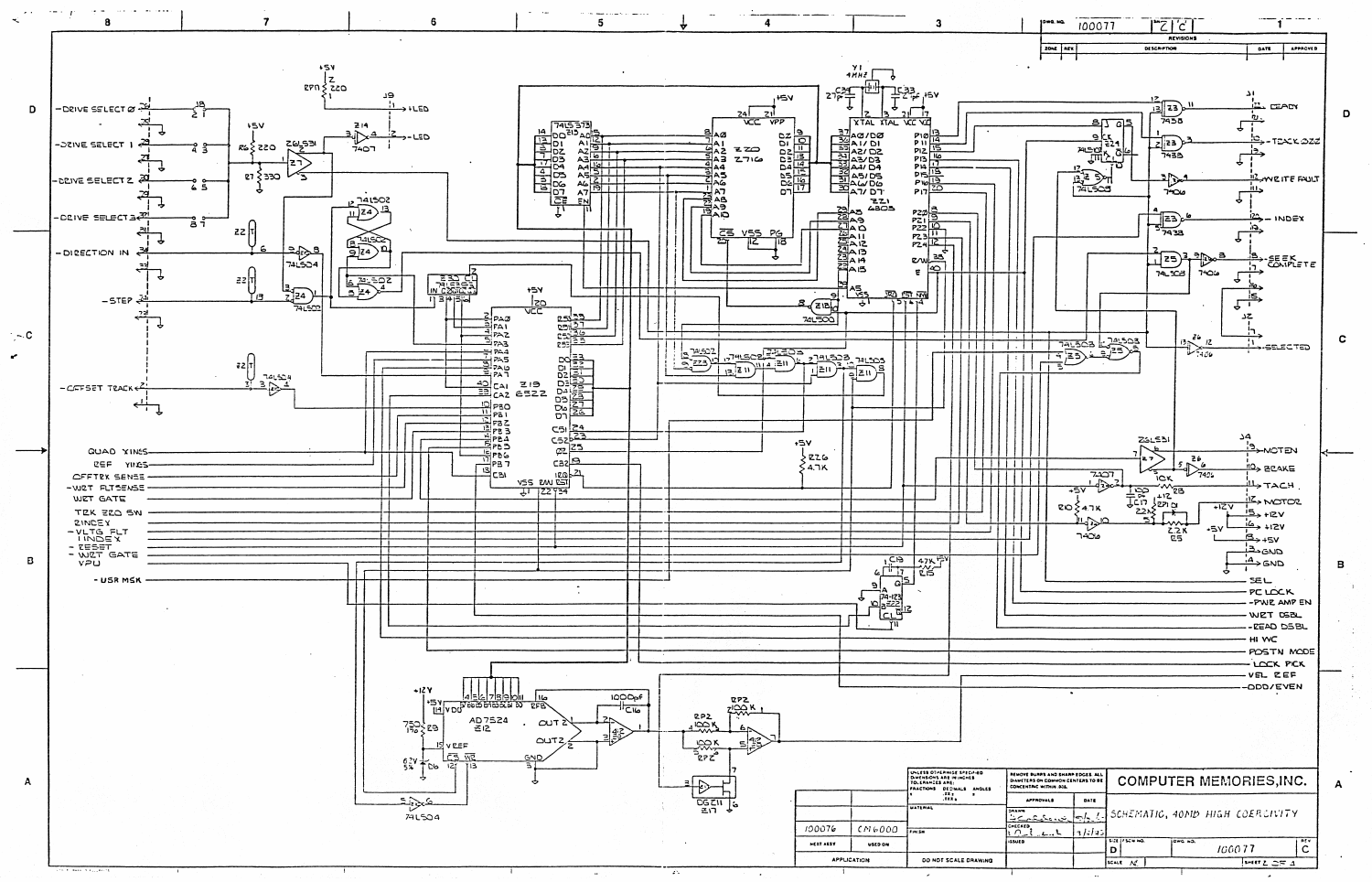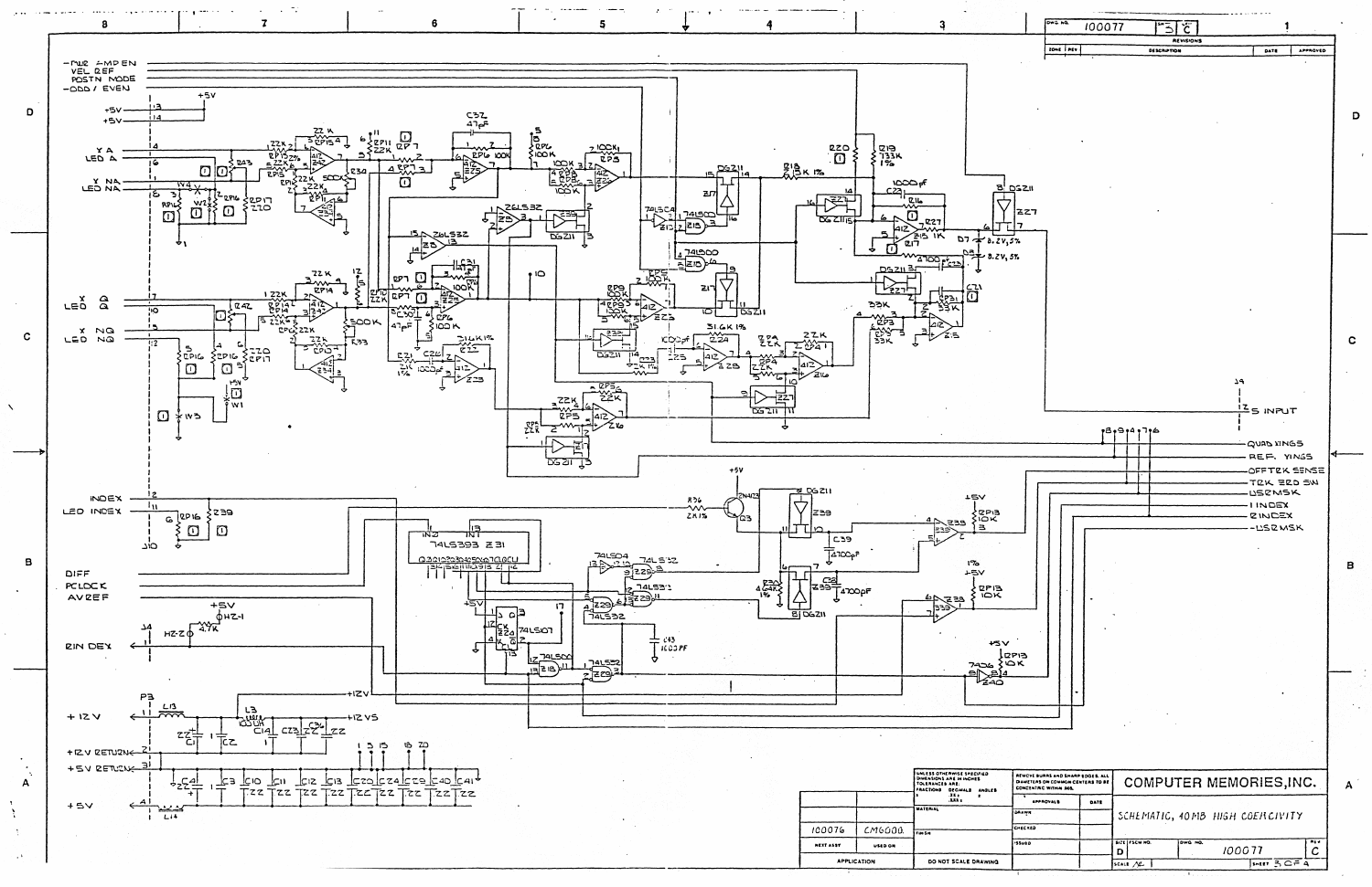

100077  $\overline{S}$   $\overline{C}$ REVISIONS **DESCRIPTION** DATE | APPROVED D  $\mathbf{c}$ ٩ **ES INPUT** appropre **GOURD VINGS** REF. YINGS OFFTEK SENSE E F TEK ZED SW **USEMSK**  $1$ INDEX **ZINDEX** -USRMSK  $\overline{B}$ **COMPUTER MEMORIES, INC.**  $\mathbf{A}$ DATE SCHEMATIC, 40MB HIGH COERCIVITY  $\overline{c}$ 100077  $\mathsf{D}$  $\overline{3073}$ SCALE  $N\!\!\!\perp$